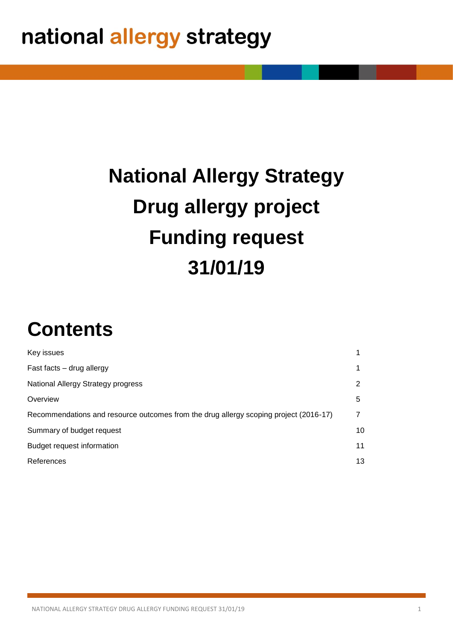# **National Allergy Strategy Drug allergy project Funding request 31/01/19**

## **Contents**

| Key issues                                                                            |    |
|---------------------------------------------------------------------------------------|----|
| Fast facts - drug allergy                                                             |    |
| National Allergy Strategy progress                                                    | 2  |
| Overview                                                                              | 5  |
| Recommendations and resource outcomes from the drug allergy scoping project (2016-17) | 7  |
| Summary of budget request                                                             | 10 |
| <b>Budget request information</b>                                                     | 11 |
| References                                                                            | 13 |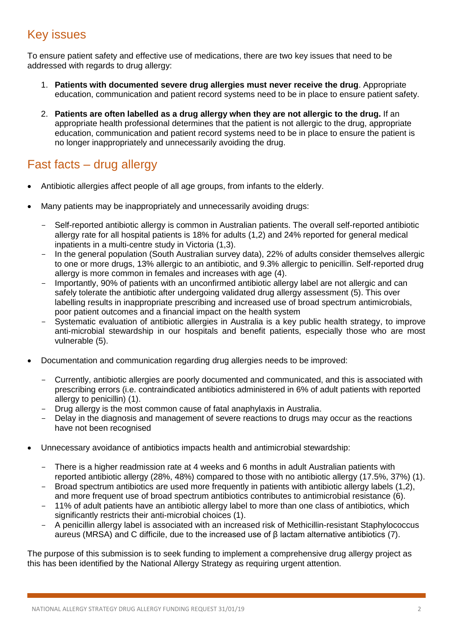## Key issues

To ensure patient safety and effective use of medications, there are two key issues that need to be addressed with regards to drug allergy:

- 1. **Patients with documented severe drug allergies must never receive the drug**. Appropriate education, communication and patient record systems need to be in place to ensure patient safety.
- 2. **Patients are often labelled as a drug allergy when they are not allergic to the drug.** If an appropriate health professional determines that the patient is not allergic to the drug, appropriate education, communication and patient record systems need to be in place to ensure the patient is no longer inappropriately and unnecessarily avoiding the drug.

## Fast facts – drug allergy

- Antibiotic allergies affect people of all age groups, from infants to the elderly.
- Many patients may be inappropriately and unnecessarily avoiding drugs:
	- Self-reported antibiotic allergy is common in Australian patients. The overall self-reported antibiotic allergy rate for all hospital patients is 18% for adults (1,2) and 24% reported for general medical inpatients in a multi-centre study in Victoria (1,3).
	- In the general population (South Australian survey data), 22% of adults consider themselves allergic to one or more drugs, 13% allergic to an antibiotic, and 9.3% allergic to penicillin. Self-reported drug allergy is more common in females and increases with age (4).
	- Importantly, 90% of patients with an unconfirmed antibiotic allergy label are not allergic and can safely tolerate the antibiotic after undergoing validated drug allergy assessment (5). This over labelling results in inappropriate prescribing and increased use of broad spectrum antimicrobials, poor patient outcomes and a financial impact on the health system
	- Systematic evaluation of antibiotic allergies in Australia is a key public health strategy, to improve anti-microbial stewardship in our hospitals and benefit patients, especially those who are most vulnerable (5).
- Documentation and communication regarding drug allergies needs to be improved:
	- Currently, antibiotic allergies are poorly documented and communicated, and this is associated with prescribing errors (i.e. contraindicated antibiotics administered in 6% of adult patients with reported allergy to penicillin) (1).
	- Drug allergy is the most common cause of fatal anaphylaxis in Australia.
	- Delay in the diagnosis and management of severe reactions to drugs may occur as the reactions have not been recognised
- Unnecessary avoidance of antibiotics impacts health and antimicrobial stewardship:
	- There is a higher readmission rate at 4 weeks and 6 months in adult Australian patients with reported antibiotic allergy (28%, 48%) compared to those with no antibiotic allergy (17.5%, 37%) (1).
	- Broad spectrum antibiotics are used more frequently in patients with antibiotic allergy labels (1,2), and more frequent use of broad spectrum antibiotics contributes to antimicrobial resistance (6).
	- 11% of adult patients have an antibiotic allergy label to more than one class of antibiotics, which significantly restricts their anti-microbial choices (1).
	- A penicillin allergy label is associated with an increased risk of Methicillin-resistant Staphylococcus aureus (MRSA) and C difficile, due to the increased use of β lactam alternative antibiotics (7).

The purpose of this submission is to seek funding to implement a comprehensive drug allergy project as this has been identified by the National Allergy Strategy as requiring urgent attention.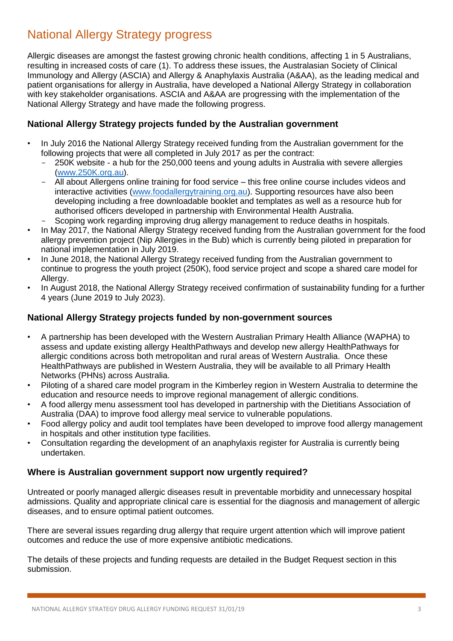## National Allergy Strategy progress

Allergic diseases are amongst the fastest growing chronic health conditions, affecting 1 in 5 Australians, resulting in increased costs of care (1). To address these issues, the Australasian Society of Clinical Immunology and Allergy (ASCIA) and Allergy & Anaphylaxis Australia (A&AA), as the leading medical and patient organisations for allergy in Australia, have developed a National Allergy Strategy in collaboration with key stakeholder organisations. ASCIA and A&AA are progressing with the implementation of the National Allergy Strategy and have made the following progress.

#### **National Allergy Strategy projects funded by the Australian government**

- In July 2016 the National Allergy Strategy received funding from the Australian government for the following projects that were all completed in July 2017 as per the contract:
	- 250K website a hub for the 250,000 teens and young adults in Australia with severe allergies [\(www.250K.org.au\)](http://www.250k.org.au/).
	- All about Allergens online training for food service this free online course includes videos and interactive activities [\(www.foodallergytraining.org.au\)](http://www.foodallergytraining.org.au/). Supporting resources have also been developing including a free downloadable booklet and templates as well as a resource hub for authorised officers developed in partnership with Environmental Health Australia.
	- Scoping work regarding improving drug allergy management to reduce deaths in hospitals.
- In May 2017, the National Allergy Strategy received funding from the Australian government for the food allergy prevention project (Nip Allergies in the Bub) which is currently being piloted in preparation for national implementation in July 2019.
- In June 2018, the National Allergy Strategy received funding from the Australian government to continue to progress the youth project (250K), food service project and scope a shared care model for Allergy.
- In August 2018, the National Allergy Strategy received confirmation of sustainability funding for a further 4 years (June 2019 to July 2023).

#### **National Allergy Strategy projects funded by non-government sources**

- A partnership has been developed with the Western Australian Primary Health Alliance (WAPHA) to assess and update existing allergy HealthPathways and develop new allergy HealthPathways for allergic conditions across both metropolitan and rural areas of Western Australia. Once these HealthPathways are published in Western Australia, they will be available to all Primary Health Networks (PHNs) across Australia.
- Piloting of a shared care model program in the Kimberley region in Western Australia to determine the education and resource needs to improve regional management of allergic conditions.
- A food allergy menu assessment tool has developed in partnership with the Dietitians Association of Australia (DAA) to improve food allergy meal service to vulnerable populations.
- Food allergy policy and audit tool templates have been developed to improve food allergy management in hospitals and other institution type facilities.
- Consultation regarding the development of an anaphylaxis register for Australia is currently being undertaken.

#### **Where is Australian government support now urgently required?**

Untreated or poorly managed allergic diseases result in preventable morbidity and unnecessary hospital admissions. Quality and appropriate clinical care is essential for the diagnosis and management of allergic diseases, and to ensure optimal patient outcomes.

There are several issues regarding drug allergy that require urgent attention which will improve patient outcomes and reduce the use of more expensive antibiotic medications.

The details of these projects and funding requests are detailed in the Budget Request section in this submission.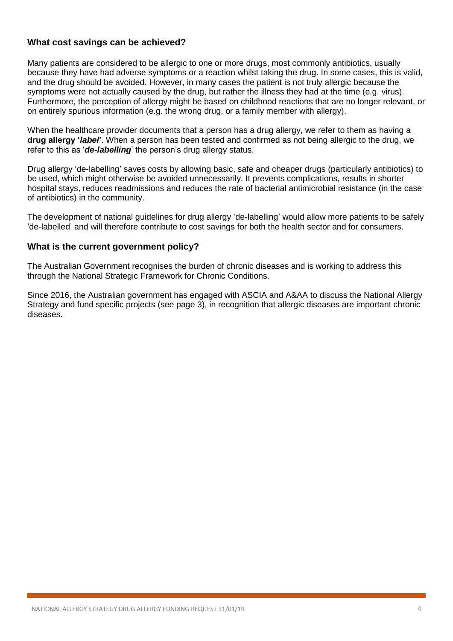#### **What cost savings can be achieved?**

Many patients are considered to be allergic to one or more drugs, most commonly antibiotics, usually because they have had adverse symptoms or a reaction whilst taking the drug. In some cases, this is valid, and the drug should be avoided. However, in many cases the patient is not truly allergic because the symptoms were not actually caused by the drug, but rather the illness they had at the time (e.g. virus). Furthermore, the perception of allergy might be based on childhood reactions that are no longer relevant, or on entirely spurious information (e.g. the wrong drug, or a family member with allergy).

When the healthcare provider documents that a person has a drug allergy, we refer to them as having a **drug allergy '***label***'**. When a person has been tested and confirmed as not being allergic to the drug, we refer to this as '*de-labelling*' the person's drug allergy status.

Drug allergy 'de-labelling' saves costs by allowing basic, safe and cheaper drugs (particularly antibiotics) to be used, which might otherwise be avoided unnecessarily. It prevents complications, results in shorter hospital stays, reduces readmissions and reduces the rate of bacterial antimicrobial resistance (in the case of antibiotics) in the community.

The development of national guidelines for drug allergy 'de-labelling' would allow more patients to be safely 'de-labelled' and will therefore contribute to cost savings for both the health sector and for consumers.

#### **What is the current government policy?**

The Australian Government recognises the burden of chronic diseases and is working to address this through the National Strategic Framework for Chronic Conditions.

Since 2016, the Australian government has engaged with ASCIA and A&AA to discuss the National Allergy Strategy and fund specific projects (see page 3), in recognition that allergic diseases are important chronic diseases.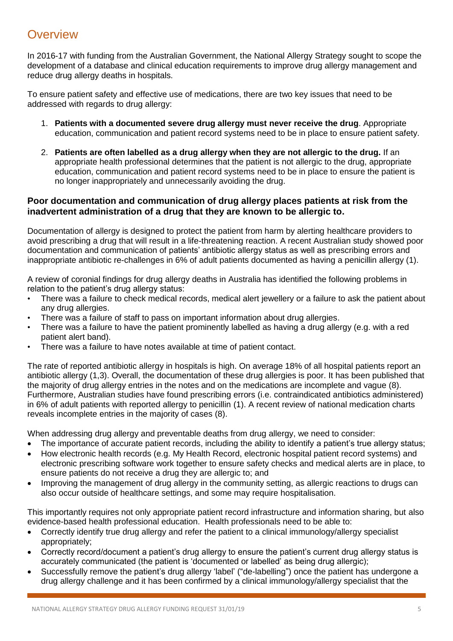### **Overview**

In 2016-17 with funding from the Australian Government, the National Allergy Strategy sought to scope the development of a database and clinical education requirements to improve drug allergy management and reduce drug allergy deaths in hospitals.

To ensure patient safety and effective use of medications, there are two key issues that need to be addressed with regards to drug allergy:

- 1. **Patients with a documented severe drug allergy must never receive the drug**. Appropriate education, communication and patient record systems need to be in place to ensure patient safety.
- 2. **Patients are often labelled as a drug allergy when they are not allergic to the drug.** If an appropriate health professional determines that the patient is not allergic to the drug, appropriate education, communication and patient record systems need to be in place to ensure the patient is no longer inappropriately and unnecessarily avoiding the drug.

#### **Poor documentation and communication of drug allergy places patients at risk from the inadvertent administration of a drug that they are known to be allergic to.**

Documentation of allergy is designed to protect the patient from harm by alerting healthcare providers to avoid prescribing a drug that will result in a life-threatening reaction. A recent Australian study showed poor documentation and communication of patients' antibiotic allergy status as well as prescribing errors and inappropriate antibiotic re-challenges in 6% of adult patients documented as having a penicillin allergy (1).

A review of coronial findings for drug allergy deaths in Australia has identified the following problems in relation to the patient's drug allergy status:

- There was a failure to check medical records, medical alert jewellery or a failure to ask the patient about any drug allergies.
- There was a failure of staff to pass on important information about drug allergies.
- There was a failure to have the patient prominently labelled as having a drug allergy (e.g. with a red patient alert band).
- There was a failure to have notes available at time of patient contact.

The rate of reported antibiotic allergy in hospitals is high. On average 18% of all hospital patients report an antibiotic allergy (1,3). Overall, the documentation of these drug allergies is poor. It has been published that the majority of drug allergy entries in the notes and on the medications are incomplete and vague (8). Furthermore, Australian studies have found prescribing errors (i.e. contraindicated antibiotics administered) in 6% of adult patients with reported allergy to penicillin (1). A recent review of national medication charts reveals incomplete entries in the majority of cases (8).

When addressing drug allergy and preventable deaths from drug allergy, we need to consider:

- The importance of accurate patient records, including the ability to identify a patient's true allergy status;
- How electronic health records (e.g. My Health Record, electronic hospital patient record systems) and electronic prescribing software work together to ensure safety checks and medical alerts are in place, to ensure patients do not receive a drug they are allergic to; and
- Improving the management of drug allergy in the community setting, as allergic reactions to drugs can also occur outside of healthcare settings, and some may require hospitalisation.

This importantly requires not only appropriate patient record infrastructure and information sharing, but also evidence-based health professional education. Health professionals need to be able to:

- Correctly identify true drug allergy and refer the patient to a clinical immunology/allergy specialist appropriately;
- Correctly record/document a patient's drug allergy to ensure the patient's current drug allergy status is accurately communicated (the patient is 'documented or labelled' as being drug allergic);
- Successfully remove the patient's drug allergy 'label' ("de-labelling") once the patient has undergone a drug allergy challenge and it has been confirmed by a clinical immunology/allergy specialist that the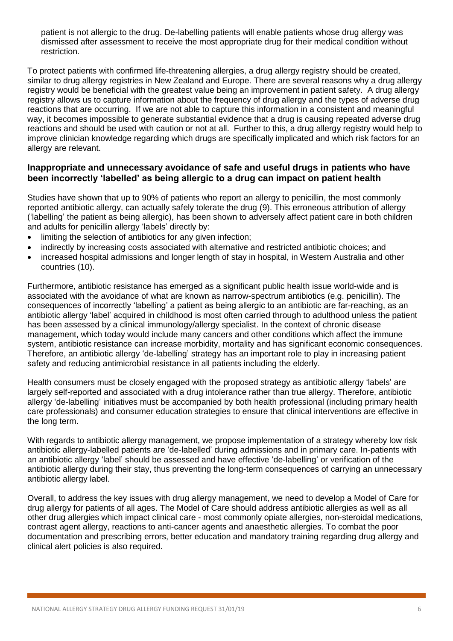patient is not allergic to the drug. De-labelling patients will enable patients whose drug allergy was dismissed after assessment to receive the most appropriate drug for their medical condition without restriction.

To protect patients with confirmed life-threatening allergies, a drug allergy registry should be created, similar to drug allergy registries in New Zealand and Europe. There are several reasons why a drug allergy registry would be beneficial with the greatest value being an improvement in patient safety. A drug allergy registry allows us to capture information about the frequency of drug allergy and the types of adverse drug reactions that are occurring. If we are not able to capture this information in a consistent and meaningful way, it becomes impossible to generate substantial evidence that a drug is causing repeated adverse drug reactions and should be used with caution or not at all. Further to this, a drug allergy registry would help to improve clinician knowledge regarding which drugs are specifically implicated and which risk factors for an allergy are relevant.

#### **Inappropriate and unnecessary avoidance of safe and useful drugs in patients who have been incorrectly 'labelled' as being allergic to a drug can impact on patient health**

Studies have shown that up to 90% of patients who report an allergy to penicillin, the most commonly reported antibiotic allergy, can actually safely tolerate the drug (9). This erroneous attribution of allergy ('labelling' the patient as being allergic), has been shown to adversely affect patient care in both children and adults for penicillin allergy 'labels' directly by:

- limiting the selection of antibiotics for any given infection;
- indirectly by increasing costs associated with alternative and restricted antibiotic choices; and
- increased hospital admissions and longer length of stay in hospital, in Western Australia and other countries (10).

Furthermore, antibiotic resistance has emerged as a significant public health issue world-wide and is associated with the avoidance of what are known as narrow-spectrum antibiotics (e.g. penicillin). The consequences of incorrectly 'labelling' a patient as being allergic to an antibiotic are far-reaching, as an antibiotic allergy 'label' acquired in childhood is most often carried through to adulthood unless the patient has been assessed by a clinical immunology/allergy specialist. In the context of chronic disease management, which today would include many cancers and other conditions which affect the immune system, antibiotic resistance can increase morbidity, mortality and has significant economic consequences. Therefore, an antibiotic allergy 'de-labelling' strategy has an important role to play in increasing patient safety and reducing antimicrobial resistance in all patients including the elderly.

Health consumers must be closely engaged with the proposed strategy as antibiotic allergy 'labels' are largely self-reported and associated with a drug intolerance rather than true allergy. Therefore, antibiotic allergy 'de-labelling' initiatives must be accompanied by both health professional (including primary health care professionals) and consumer education strategies to ensure that clinical interventions are effective in the long term.

With regards to antibiotic allergy management, we propose implementation of a strategy whereby low risk antibiotic allergy-labelled patients are 'de-labelled' during admissions and in primary care. In-patients with an antibiotic allergy 'label' should be assessed and have effective 'de-labelling' or verification of the antibiotic allergy during their stay, thus preventing the long-term consequences of carrying an unnecessary antibiotic allergy label.

Overall, to address the key issues with drug allergy management, we need to develop a Model of Care for drug allergy for patients of all ages. The Model of Care should address antibiotic allergies as well as all other drug allergies which impact clinical care - most commonly opiate allergies, non-steroidal medications, contrast agent allergy, reactions to anti-cancer agents and anaesthetic allergies. To combat the poor documentation and prescribing errors, better education and mandatory training regarding drug allergy and clinical alert policies is also required.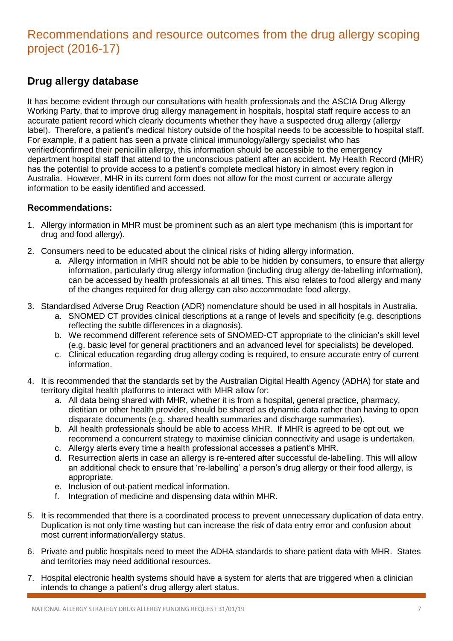## Recommendations and resource outcomes from the drug allergy scoping project (2016-17)

#### **Drug allergy database**

It has become evident through our consultations with health professionals and the ASCIA Drug Allergy Working Party, that to improve drug allergy management in hospitals, hospital staff require access to an accurate patient record which clearly documents whether they have a suspected drug allergy (allergy label). Therefore, a patient's medical history outside of the hospital needs to be accessible to hospital staff. For example, if a patient has seen a private clinical immunology/allergy specialist who has verified/confirmed their penicillin allergy, this information should be accessible to the emergency department hospital staff that attend to the unconscious patient after an accident. My Health Record (MHR) has the potential to provide access to a patient's complete medical history in almost every region in Australia. However, MHR in its current form does not allow for the most current or accurate allergy information to be easily identified and accessed.

#### **Recommendations:**

- 1. Allergy information in MHR must be prominent such as an alert type mechanism (this is important for drug and food allergy).
- 2. Consumers need to be educated about the clinical risks of hiding allergy information.
	- a. Allergy information in MHR should not be able to be hidden by consumers, to ensure that allergy information, particularly drug allergy information (including drug allergy de-labelling information), can be accessed by health professionals at all times. This also relates to food allergy and many of the changes required for drug allergy can also accommodate food allergy.
- 3. Standardised Adverse Drug Reaction (ADR) nomenclature should be used in all hospitals in Australia.
	- a. SNOMED CT provides clinical descriptions at a range of levels and specificity (e.g. descriptions reflecting the subtle differences in a diagnosis).
	- b. We recommend different reference sets of SNOMED-CT appropriate to the clinician's skill level (e.g. basic level for general practitioners and an advanced level for specialists) be developed.
	- c. Clinical education regarding drug allergy coding is required, to ensure accurate entry of current information.
- 4. It is recommended that the standards set by the Australian Digital Health Agency (ADHA) for state and territory digital health platforms to interact with MHR allow for:
	- a. All data being shared with MHR, whether it is from a hospital, general practice, pharmacy, dietitian or other health provider, should be shared as dynamic data rather than having to open disparate documents (e.g. shared health summaries and discharge summaries).
	- b. All health professionals should be able to access MHR. If MHR is agreed to be opt out, we recommend a concurrent strategy to maximise clinician connectivity and usage is undertaken.
	- c. Allergy alerts every time a health professional accesses a patient's MHR.
	- d. Resurrection alerts in case an allergy is re-entered after successful de-labelling. This will allow an additional check to ensure that 're-labelling' a person's drug allergy or their food allergy, is appropriate.
	- e. Inclusion of out-patient medical information.
	- f. Integration of medicine and dispensing data within MHR.
- 5. It is recommended that there is a coordinated process to prevent unnecessary duplication of data entry. Duplication is not only time wasting but can increase the risk of data entry error and confusion about most current information/allergy status.
- 6. Private and public hospitals need to meet the ADHA standards to share patient data with MHR. States and territories may need additional resources.
- 7. Hospital electronic health systems should have a system for alerts that are triggered when a clinician intends to change a patient's drug allergy alert status.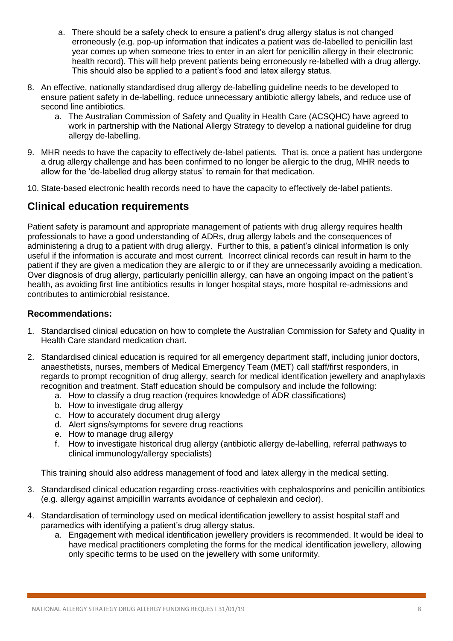- a. There should be a safety check to ensure a patient's drug allergy status is not changed erroneously (e.g. pop-up information that indicates a patient was de-labelled to penicillin last year comes up when someone tries to enter in an alert for penicillin allergy in their electronic health record). This will help prevent patients being erroneously re-labelled with a drug allergy. This should also be applied to a patient's food and latex allergy status.
- 8. An effective, nationally standardised drug allergy de-labelling guideline needs to be developed to ensure patient safety in de-labelling, reduce unnecessary antibiotic allergy labels, and reduce use of second line antibiotics.
	- a. The Australian Commission of Safety and Quality in Health Care (ACSQHC) have agreed to work in partnership with the National Allergy Strategy to develop a national guideline for drug allergy de-labelling.
- 9. MHR needs to have the capacity to effectively de-label patients. That is, once a patient has undergone a drug allergy challenge and has been confirmed to no longer be allergic to the drug, MHR needs to allow for the 'de-labelled drug allergy status' to remain for that medication.
- 10. State-based electronic health records need to have the capacity to effectively de-label patients.

#### **Clinical education requirements**

Patient safety is paramount and appropriate management of patients with drug allergy requires health professionals to have a good understanding of ADRs, drug allergy labels and the consequences of administering a drug to a patient with drug allergy. Further to this, a patient's clinical information is only useful if the information is accurate and most current. Incorrect clinical records can result in harm to the patient if they are given a medication they are allergic to or if they are unnecessarily avoiding a medication. Over diagnosis of drug allergy, particularly penicillin allergy, can have an ongoing impact on the patient's health, as avoiding first line antibiotics results in longer hospital stays, more hospital re-admissions and contributes to antimicrobial resistance.

#### **Recommendations:**

- 1. Standardised clinical education on how to complete the Australian Commission for Safety and Quality in Health Care standard medication chart.
- 2. Standardised clinical education is required for all emergency department staff, including junior doctors, anaesthetists, nurses, members of Medical Emergency Team (MET) call staff/first responders, in regards to prompt recognition of drug allergy, search for medical identification jewellery and anaphylaxis recognition and treatment. Staff education should be compulsory and include the following:
	- a. How to classify a drug reaction (requires knowledge of ADR classifications)
	- b. How to investigate drug allergy
	- c. How to accurately document drug allergy
	- d. Alert signs/symptoms for severe drug reactions
	- e. How to manage drug allergy
	- f. How to investigate historical drug allergy (antibiotic allergy de-labelling, referral pathways to clinical immunology/allergy specialists)

This training should also address management of food and latex allergy in the medical setting.

- 3. Standardised clinical education regarding cross-reactivities with cephalosporins and penicillin antibiotics (e.g. allergy against ampicillin warrants avoidance of cephalexin and ceclor).
- 4. Standardisation of terminology used on medical identification jewellery to assist hospital staff and paramedics with identifying a patient's drug allergy status.
	- a. Engagement with medical identification jewellery providers is recommended. It would be ideal to have medical practitioners completing the forms for the medical identification jewellery, allowing only specific terms to be used on the jewellery with some uniformity.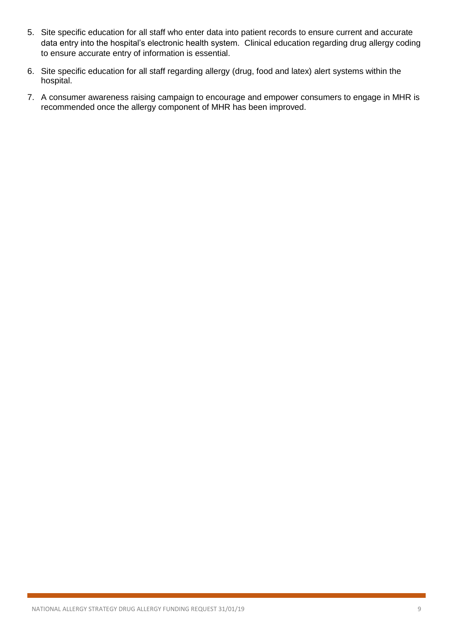- 5. Site specific education for all staff who enter data into patient records to ensure current and accurate data entry into the hospital's electronic health system. Clinical education regarding drug allergy coding to ensure accurate entry of information is essential.
- 6. Site specific education for all staff regarding allergy (drug, food and latex) alert systems within the hospital.
- 7. A consumer awareness raising campaign to encourage and empower consumers to engage in MHR is recommended once the allergy component of MHR has been improved.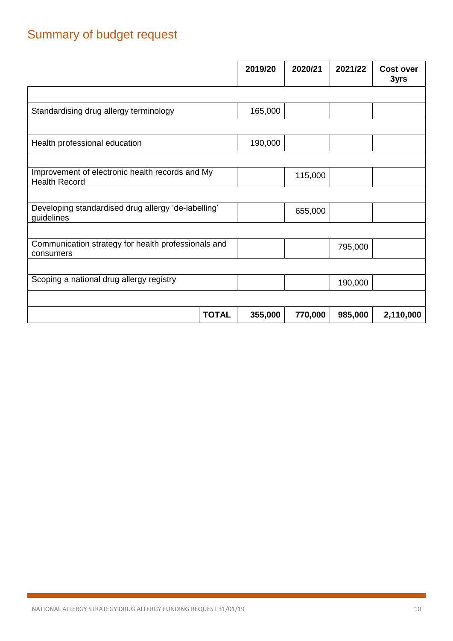## Summary of budget request

|                                                                         |              | 2019/20 | 2020/21 | 2021/22 | <b>Cost over</b><br>3yrs |
|-------------------------------------------------------------------------|--------------|---------|---------|---------|--------------------------|
|                                                                         |              |         |         |         |                          |
| Standardising drug allergy terminology                                  |              | 165,000 |         |         |                          |
|                                                                         |              |         |         |         |                          |
| Health professional education                                           |              | 190,000 |         |         |                          |
|                                                                         |              |         |         |         |                          |
| Improvement of electronic health records and My<br><b>Health Record</b> |              |         | 115,000 |         |                          |
|                                                                         |              |         |         |         |                          |
| Developing standardised drug allergy 'de-labelling'<br>guidelines       |              |         | 655,000 |         |                          |
|                                                                         |              |         |         |         |                          |
| Communication strategy for health professionals and<br>consumers        |              |         |         | 795,000 |                          |
|                                                                         |              |         |         |         |                          |
| Scoping a national drug allergy registry                                |              |         |         | 190,000 |                          |
|                                                                         |              |         |         |         |                          |
|                                                                         | <b>TOTAL</b> | 355,000 | 770,000 | 985,000 | 2,110,000                |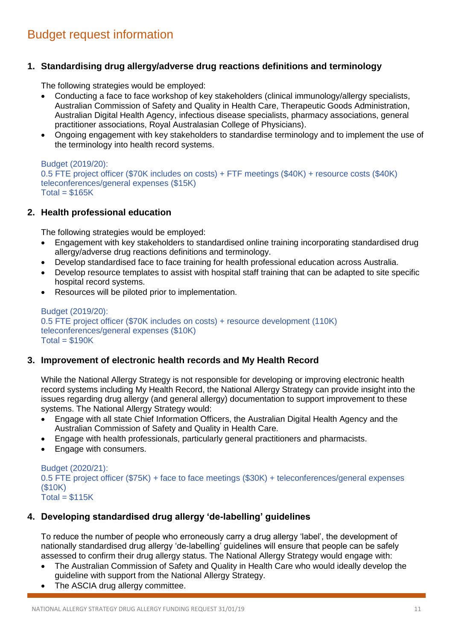## Budget request information

#### **1. Standardising drug allergy/adverse drug reactions definitions and terminology**

The following strategies would be employed:

- Conducting a face to face workshop of key stakeholders (clinical immunology/allergy specialists, Australian Commission of Safety and Quality in Health Care, Therapeutic Goods Administration, Australian Digital Health Agency, infectious disease specialists, pharmacy associations, general practitioner associations, Royal Australasian College of Physicians).
- Ongoing engagement with key stakeholders to standardise terminology and to implement the use of the terminology into health record systems.

#### Budget (2019/20):

0.5 FTE project officer (\$70K includes on costs) + FTF meetings (\$40K) + resource costs (\$40K) teleconferences/general expenses (\$15K)  $Total = $165K$ 

#### **2. Health professional education**

The following strategies would be employed:

- Engagement with key stakeholders to standardised online training incorporating standardised drug allergy/adverse drug reactions definitions and terminology.
- Develop standardised face to face training for health professional education across Australia.
- Develop resource templates to assist with hospital staff training that can be adapted to site specific hospital record systems.
- Resources will be piloted prior to implementation.

Budget (2019/20): 0.5 FTE project officer (\$70K includes on costs) + resource development (110K) teleconferences/general expenses (\$10K)  $Total = $190K$ 

#### **3. Improvement of electronic health records and My Health Record**

While the National Allergy Strategy is not responsible for developing or improving electronic health record systems including My Health Record, the National Allergy Strategy can provide insight into the issues regarding drug allergy (and general allergy) documentation to support improvement to these systems. The National Allergy Strategy would:

- Engage with all state Chief Information Officers, the Australian Digital Health Agency and the Australian Commission of Safety and Quality in Health Care.
- Engage with health professionals, particularly general practitioners and pharmacists.
- Engage with consumers.

Budget (2020/21): 0.5 FTE project officer (\$75K) + face to face meetings (\$30K) + teleconferences/general expenses (\$10K)  $Total = $115K$ 

#### **4. Developing standardised drug allergy 'de-labelling' guidelines**

To reduce the number of people who erroneously carry a drug allergy 'label', the development of nationally standardised drug allergy 'de-labelling' guidelines will ensure that people can be safely assessed to confirm their drug allergy status. The National Allergy Strategy would engage with:

- The Australian Commission of Safety and Quality in Health Care who would ideally develop the guideline with support from the National Allergy Strategy.
- The ASCIA drug allergy committee.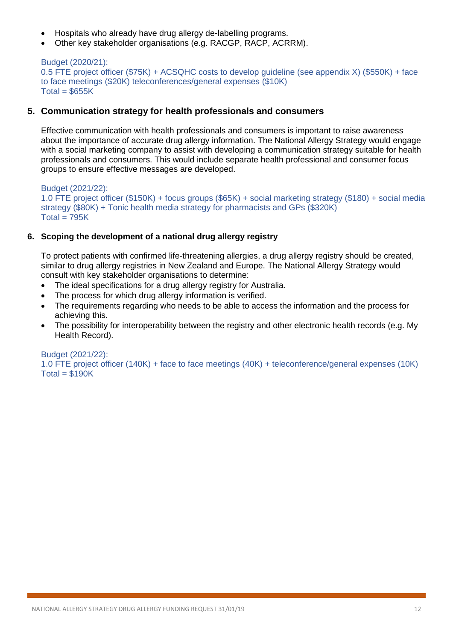- Hospitals who already have drug allergy de-labelling programs.
- Other key stakeholder organisations (e.g. RACGP, RACP, ACRRM).

```
Budget (2020/21):
0.5 FTE project officer ($75K) + ACSQHC costs to develop guideline (see appendix X) ($550K) + face 
to face meetings ($20K) teleconferences/general expenses ($10K)
Total = $655K
```
#### **5. Communication strategy for health professionals and consumers**

Effective communication with health professionals and consumers is important to raise awareness about the importance of accurate drug allergy information. The National Allergy Strategy would engage with a social marketing company to assist with developing a communication strategy suitable for health professionals and consumers. This would include separate health professional and consumer focus groups to ensure effective messages are developed.

Budget (2021/22): 1.0 FTE project officer (\$150K) + focus groups (\$65K) + social marketing strategy (\$180) + social media strategy (\$80K) + Tonic health media strategy for pharmacists and GPs (\$320K)  $Total = 795K$ 

#### **6. Scoping the development of a national drug allergy registry**

To protect patients with confirmed life-threatening allergies, a drug allergy registry should be created, similar to drug allergy registries in New Zealand and Europe. The National Allergy Strategy would consult with key stakeholder organisations to determine:

- The ideal specifications for a drug allergy registry for Australia.
- The process for which drug allergy information is verified.
- The requirements regarding who needs to be able to access the information and the process for achieving this.
- The possibility for interoperability between the registry and other electronic health records (e.g. My Health Record).

Budget (2021/22):

1.0 FTE project officer (140K) + face to face meetings (40K) + teleconference/general expenses (10K)  $Total = $190K$